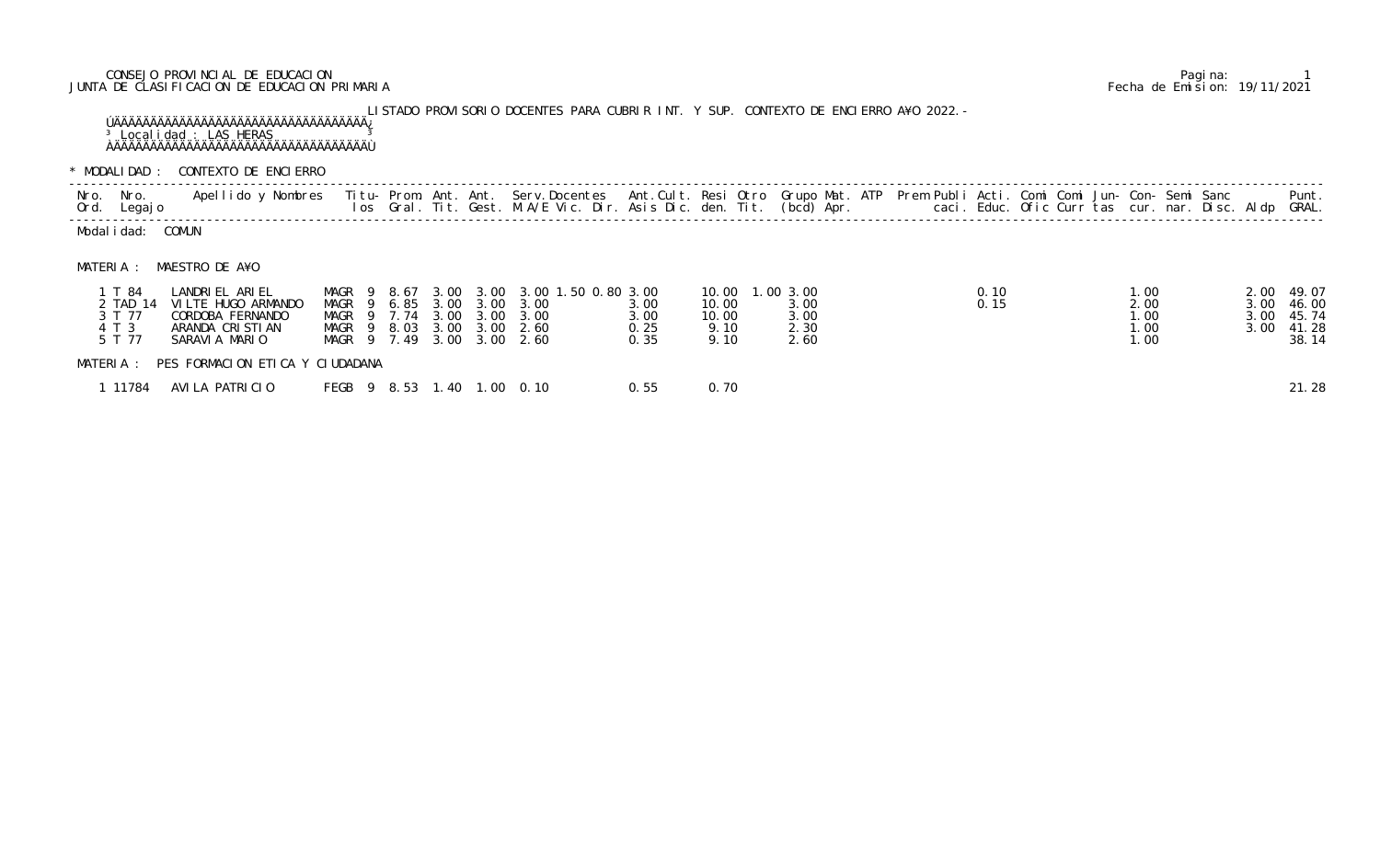## CONSEJO PROVINCIAL DE EDUCACION Pagina: 1 JUNTA DE CLASIFICACION DE EDUCACION PRIMARIA Fecha de Emision: 19/11/2021

LISTADO PROVISORIO DOCENTES PARA CUBRIR INT. Y SUP. CONTEXTO DE ENCIERRO A¥O 2022.- ÚÄÄÄÄÄÄÄÄÄÄÄÄÄÄÄÄÄÄÄÄÄÄÄÄÄÄÄÄÄÄÄÄÄÄÄ¿ <sup>3</sup> Localidad : LAS HERAS <sup>3</sup> ÀÄÄÄÄÄÄÄÄÄÄÄÄÄÄÄÄÄÄÄÄÄÄÄÄÄÄÄÄÄÄÄÄÄÄÄÙ

\* MODALIDAD : CONTEXTO DE ENCIERRO

| Nro. Nro.<br>Ord. Legajo |                | Apellido y Nombres  Titu- Prom. Ant. Ant.  Serv.Docentes  Ant.Cult. Resi Otro  Grupo Mat. ATP  Prem Publi Acti. Comi Comi Jun- Con- Semi Sanc          Punt.<br>Ios Gral. Tit. Gest. M.A/E Vic. Dir. Asis Dic. den. Tit. (bcd) Ap |  |  |  |  |  |  |
|--------------------------|----------------|-----------------------------------------------------------------------------------------------------------------------------------------------------------------------------------------------------------------------------------|--|--|--|--|--|--|
| COMUN<br>Modal i dad:    |                |                                                                                                                                                                                                                                   |  |  |  |  |  |  |
| MATFRIA                  | MAESTRO DE A¥O |                                                                                                                                                                                                                                   |  |  |  |  |  |  |

| T 84      | LANDRIEL ARIEL                  | MAGR <sub>9</sub> |  | 8.67 | 3.00 |                | 3.00 3.00 1.50 0.80 3.00 |      | 10.00 | .003.00 | 0.10 | .00                             | 2.00 49.07 |       |  |
|-----------|---------------------------------|-------------------|--|------|------|----------------|--------------------------|------|-------|---------|------|---------------------------------|------------|-------|--|
| TAD 14    | VILTE HUGO ARMANDO              | MAGR 9            |  | 6.85 |      | 3.00 3.00 3.00 |                          | 3.00 | 10.00 | 3.00    | 0.15 | 2.00                            | 3.00 46.00 |       |  |
| 3 T 77    | CORDOBA FERNANDO                | MAGR 9 7.74       |  |      |      | 3.00 3.00 3.00 |                          | 3.00 | 10.00 | 3.00    |      | $\overline{\phantom{0}}$ . $00$ | 3.00 45.74 |       |  |
| 4 T 3     | ARANDA CRISTIAN                 | MAGR 9            |  | 8.03 |      | 3.00 3.00 2.60 |                          | 0.25 | 9.10  | 2.30    |      | 1.00                            | 3.00 41.28 |       |  |
| 5 T 77    | SARAVIA MARIO                   | MAGR 9 7.49       |  |      |      | 3.00 3.00 2.60 |                          | 0.35 | 9.10  | 2.60    |      | 1.00                            |            | 38.14 |  |
| MATERIA : | PES FORMACION ETICA Y CIUDADANA |                   |  |      |      |                |                          |      |       |         |      |                                 |            |       |  |
| 11784     | AVILA PATRICIO                  | FEGB 9 8.53 1.    |  |      | . 40 |                | $1.00 \quad 0.10$        | 0.55 | 0.70  |         |      |                                 |            | 21.28 |  |